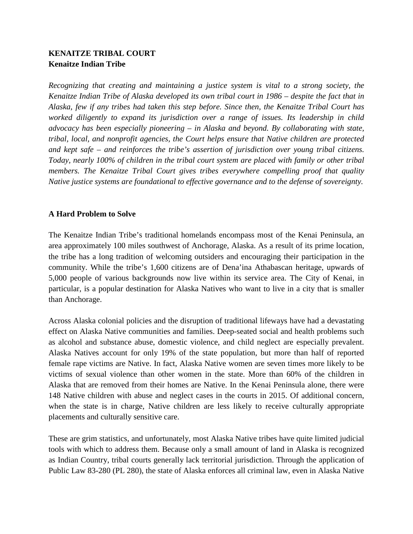# **KENAITZE TRIBAL COURT Kenaitze Indian Tribe**

*Recognizing that creating and maintaining a justice system is vital to a strong society, the Kenaitze Indian Tribe of Alaska developed its own tribal court in 1986 – despite the fact that in Alaska, few if any tribes had taken this step before. Since then, the Kenaitze Tribal Court has worked diligently to expand its jurisdiction over a range of issues. Its leadership in child advocacy has been especially pioneering – in Alaska and beyond. By collaborating with state, tribal, local, and nonprofit agencies, the Court helps ensure that Native children are protected and kept safe – and reinforces the tribe's assertion of jurisdiction over young tribal citizens. Today, nearly 100% of children in the tribal court system are placed with family or other tribal members. The Kenaitze Tribal Court gives tribes everywhere compelling proof that quality Native justice systems are foundational to effective governance and to the defense of sovereignty.*

### **A Hard Problem to Solve**

The Kenaitze Indian Tribe's traditional homelands encompass most of the Kenai Peninsula, an area approximately 100 miles southwest of Anchorage, Alaska. As a result of its prime location, the tribe has a long tradition of welcoming outsiders and encouraging their participation in the community. While the tribe's 1,600 citizens are of Dena'ina Athabascan heritage, upwards of 5,000 people of various backgrounds now live within its service area. The City of Kenai, in particular, is a popular destination for Alaska Natives who want to live in a city that is smaller than Anchorage.

Across Alaska colonial policies and the disruption of traditional lifeways have had a devastating effect on Alaska Native communities and families. Deep-seated social and health problems such as alcohol and substance abuse, domestic violence, and child neglect are especially prevalent. Alaska Natives account for only 19% of the state population, but more than half of reported female rape victims are Native. In fact, Alaska Native women are seven times more likely to be victims of sexual violence than other women in the state. More than 60% of the children in Alaska that are removed from their homes are Native. In the Kenai Peninsula alone, there were 148 Native children with abuse and neglect cases in the courts in 2015. Of additional concern, when the state is in charge, Native children are less likely to receive culturally appropriate placements and culturally sensitive care.

These are grim statistics, and unfortunately, most Alaska Native tribes have quite limited judicial tools with which to address them. Because only a small amount of land in Alaska is recognized as Indian Country, tribal courts generally lack territorial jurisdiction. Through the application of Public Law 83-280 (PL 280), the state of Alaska enforces all criminal law, even in Alaska Native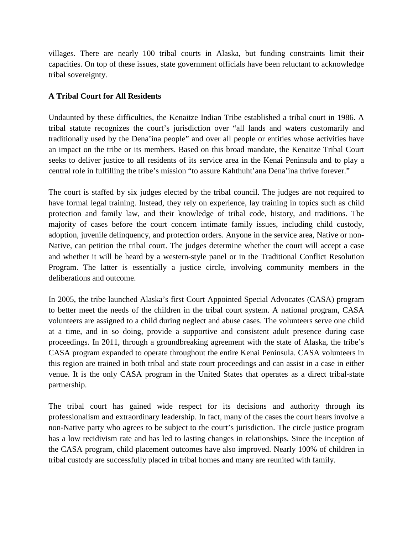villages. There are nearly 100 tribal courts in Alaska, but funding constraints limit their capacities. On top of these issues, state government officials have been reluctant to acknowledge tribal sovereignty.

# **A Tribal Court for All Residents**

Undaunted by these difficulties, the Kenaitze Indian Tribe established a tribal court in 1986. A tribal statute recognizes the court's jurisdiction over "all lands and waters customarily and traditionally used by the Dena'ina people" and over all people or entities whose activities have an impact on the tribe or its members. Based on this broad mandate, the Kenaitze Tribal Court seeks to deliver justice to all residents of its service area in the Kenai Peninsula and to play a central role in fulfilling the tribe's mission "to assure Kahthuht'ana Dena'ina thrive forever."

The court is staffed by six judges elected by the tribal council. The judges are not required to have formal legal training. Instead, they rely on experience, lay training in topics such as child protection and family law, and their knowledge of tribal code, history, and traditions. The majority of cases before the court concern intimate family issues, including child custody, adoption, juvenile delinquency, and protection orders. Anyone in the service area, Native or non-Native, can petition the tribal court. The judges determine whether the court will accept a case and whether it will be heard by a western-style panel or in the Traditional Conflict Resolution Program. The latter is essentially a justice circle, involving community members in the deliberations and outcome.

In 2005, the tribe launched Alaska's first Court Appointed Special Advocates (CASA) program to better meet the needs of the children in the tribal court system. A national program, CASA volunteers are assigned to a child during neglect and abuse cases. The volunteers serve one child at a time, and in so doing, provide a supportive and consistent adult presence during case proceedings. In 2011, through a groundbreaking agreement with the state of Alaska, the tribe's CASA program expanded to operate throughout the entire Kenai Peninsula. CASA volunteers in this region are trained in both tribal and state court proceedings and can assist in a case in either venue. It is the only CASA program in the United States that operates as a direct tribal-state partnership.

The tribal court has gained wide respect for its decisions and authority through its professionalism and extraordinary leadership. In fact, many of the cases the court hears involve a non-Native party who agrees to be subject to the court's jurisdiction. The circle justice program has a low recidivism rate and has led to lasting changes in relationships. Since the inception of the CASA program, child placement outcomes have also improved. Nearly 100% of children in tribal custody are successfully placed in tribal homes and many are reunited with family.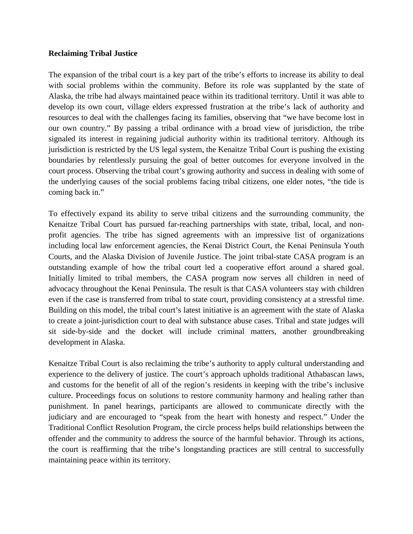### **Reclaiming Tribal Justice**

The expansion of the tribal court is a key part of the tribe's efforts to increase its ability to deal with social problems within the community. Before its role was supplanted by the state of Alaska, the tribe had always maintained peace within its traditional territory. Until it was able to develop its own court, village elders expressed frustration at the tribe's lack of authority and resources to deal with the challenges facing its families, observing that "we have become lost in our own country." By passing a tribal ordinance with a broad view of jurisdiction, the tribe signaled its interest in regaining judicial authority within its traditional territory. Although its jurisdiction is restricted by the US legal system, the Kenaitze Tribal Court is pushing the existing boundaries by relentlessly pursuing the goal of better outcomes for everyone involved in the court process. Observing the tribal court's growing authority and success in dealing with some of the underlying causes of the social problems facing tribal citizens, one elder notes, "the tide is coming back in."

To effectively expand its ability to serve tribal citizens and the surrounding community, the Kenaitze Tribal Court has pursued far-reaching partnerships with state, tribal, local, and nonprofit agencies. The tribe has signed agreements with an impressive list of organizations including local law enforcement agencies, the Kenai District Court, the Kenai Peninsula Youth Courts, and the Alaska Division of Juvenile Justice. The joint tribal-state CASA program is an outstanding example of how the tribal court led a cooperative effort around a shared goal. Initially limited to tribal members, the CASA program now serves all children in need of advocacy throughout the Kenai Peninsula. The result is that CASA volunteers stay with children even if the case is transferred from tribal to state court, providing consistency at a stressful time. Building on this model, the tribal court's latest initiative is an agreement with the state of Alaska to create a joint-jurisdiction court to deal with substance abuse cases. Tribal and state judges will sit side-by-side and the docket will include criminal matters, another groundbreaking development in Alaska.

Kenaitze Tribal Court is also reclaiming the tribe's authority to apply cultural understanding and experience to the delivery of justice. The court's approach upholds traditional Athabascan laws, and customs for the benefit of all of the region's residents in keeping with the tribe's inclusive culture. Proceedings focus on solutions to restore community harmony and healing rather than punishment. In panel hearings, participants are allowed to communicate directly with the judiciary and are encouraged to "speak from the heart with honesty and respect." Under the Traditional Conflict Resolution Program, the circle process helps build relationships between the offender and the community to address the source of the harmful behavior. Through its actions, the court is reaffirming that the tribe's longstanding practices are still central to successfully maintaining peace within its territory.